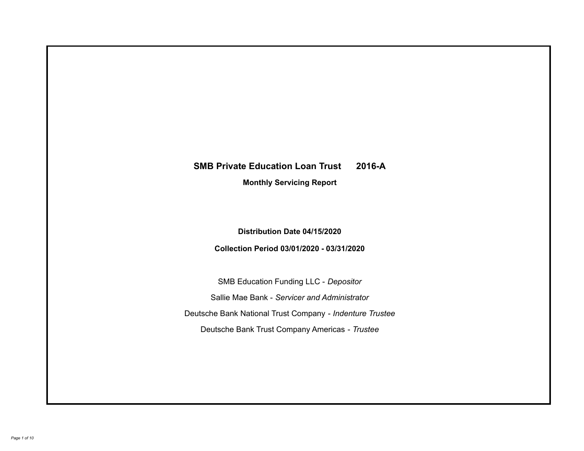# **SMB Private Education Loan Trust 2016-A Monthly Servicing Report**

## **Distribution Date 04/15/2020**

## **Collection Period 03/01/2020 - 03/31/2020**

SMB Education Funding LLC - *Depositor* Sallie Mae Bank - *Servicer and Administrator* Deutsche Bank National Trust Company - *Indenture Trustee* Deutsche Bank Trust Company Americas - *Trustee*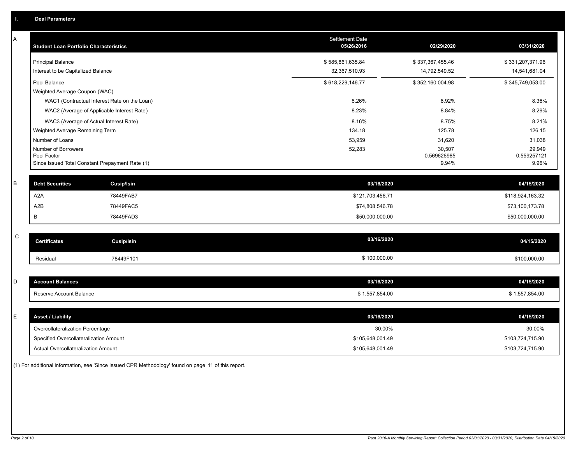| Α           | <b>Student Loan Portfolio Characteristics</b> |                                                 | <b>Settlement Date</b><br>05/26/2016 | 02/29/2020           | 03/31/2020           |
|-------------|-----------------------------------------------|-------------------------------------------------|--------------------------------------|----------------------|----------------------|
|             | <b>Principal Balance</b>                      |                                                 | \$585,861,635.84                     | \$337,367,455.46     | \$331,207,371.96     |
|             | Interest to be Capitalized Balance            |                                                 | 32,367,510.93                        | 14,792,549.52        | 14,541,681.04        |
|             | Pool Balance                                  |                                                 | \$618,229,146.77                     | \$352,160,004.98     | \$345,749,053.00     |
|             | Weighted Average Coupon (WAC)                 |                                                 |                                      |                      |                      |
|             |                                               | WAC1 (Contractual Interest Rate on the Loan)    | 8.26%                                | 8.92%                | 8.36%                |
|             |                                               | WAC2 (Average of Applicable Interest Rate)      | 8.23%                                | 8.84%                | 8.29%                |
|             |                                               | WAC3 (Average of Actual Interest Rate)          | 8.16%                                | 8.75%                | 8.21%                |
|             | Weighted Average Remaining Term               |                                                 | 134.18                               | 125.78               | 126.15               |
|             | Number of Loans                               |                                                 | 53,959                               | 31,620               | 31,038               |
|             | Number of Borrowers                           |                                                 | 52,283                               | 30,507               | 29,949               |
|             | Pool Factor                                   | Since Issued Total Constant Prepayment Rate (1) |                                      | 0.569626985<br>9.94% | 0.559257121<br>9.96% |
|             |                                               |                                                 |                                      |                      |                      |
| $\sf B$     | <b>Debt Securities</b>                        | <b>Cusip/Isin</b>                               | 03/16/2020                           |                      | 04/15/2020           |
|             | A <sub>2</sub> A                              | 78449FAB7                                       | \$121,703,456.71                     |                      | \$118,924,163.32     |
|             | A2B                                           | 78449FAC5                                       | \$74,808,546.78                      |                      | \$73,100,173.78      |
|             | В                                             | 78449FAD3                                       | \$50,000,000.00                      |                      | \$50,000,000.00      |
|             |                                               |                                                 |                                      |                      |                      |
| $\mathsf C$ | <b>Certificates</b>                           | Cusip/Isin                                      | 03/16/2020                           |                      | 04/15/2020           |
|             | Residual                                      | 78449F101                                       | \$100,000.00                         |                      | \$100,000.00         |
|             |                                               |                                                 |                                      |                      |                      |
| D           | <b>Account Balances</b>                       |                                                 | 03/16/2020                           |                      | 04/15/2020           |
|             | Reserve Account Balance                       |                                                 | \$1,557,854.00                       |                      | \$1,557,854.00       |
|             |                                               |                                                 |                                      |                      |                      |
| Е           | <b>Asset / Liability</b>                      |                                                 | 03/16/2020                           |                      | 04/15/2020           |
|             | Overcollateralization Percentage              |                                                 | 30.00%                               |                      | 30.00%               |
|             | Specified Overcollateralization Amount        |                                                 | \$105,648,001.49                     |                      | \$103,724,715.90     |
|             | Actual Overcollateralization Amount           |                                                 | \$105,648,001.49                     |                      | \$103,724,715.90     |

(1) For additional information, see 'Since Issued CPR Methodology' found on page 11 of this report.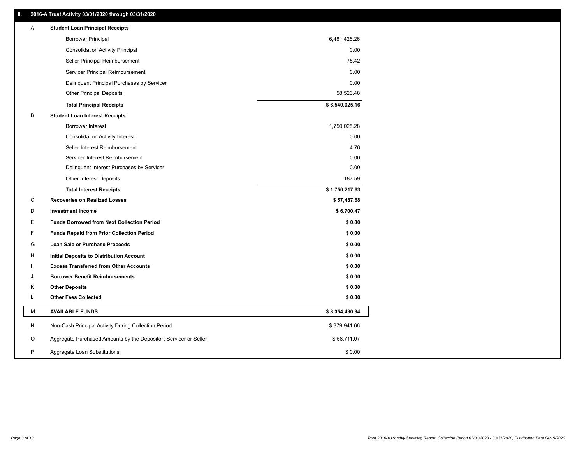## **II. 2016-A Trust Activity 03/01/2020 through 03/31/2020**

| <b>Borrower Principal</b><br>6,481,426.26<br>0.00<br><b>Consolidation Activity Principal</b><br>Seller Principal Reimbursement<br>75.42<br>Servicer Principal Reimbursement<br>0.00<br>Delinquent Principal Purchases by Servicer<br>0.00<br><b>Other Principal Deposits</b><br>58,523.48<br>\$6,540,025.16<br><b>Total Principal Receipts</b><br>В<br><b>Student Loan Interest Receipts</b><br><b>Borrower Interest</b><br>1,750,025.28<br>0.00<br><b>Consolidation Activity Interest</b><br>Seller Interest Reimbursement<br>4.76<br>0.00<br>Servicer Interest Reimbursement<br>0.00<br>Delinquent Interest Purchases by Servicer<br>187.59<br><b>Other Interest Deposits</b><br>\$1,750,217.63<br><b>Total Interest Receipts</b><br>C<br><b>Recoveries on Realized Losses</b><br>\$57,487.68<br>D<br><b>Investment Income</b><br>\$6,700.47<br>Е<br><b>Funds Borrowed from Next Collection Period</b><br>\$0.00<br>F<br><b>Funds Repaid from Prior Collection Period</b><br>\$0.00<br>G<br>Loan Sale or Purchase Proceeds<br>\$0.00<br>\$0.00<br>H<br>Initial Deposits to Distribution Account<br>\$0.00<br><b>Excess Transferred from Other Accounts</b><br><b>Borrower Benefit Reimbursements</b><br>\$0.00<br>J<br><b>Other Deposits</b><br>\$0.00<br>Κ<br><b>Other Fees Collected</b><br>L<br>\$0.00<br>М<br><b>AVAILABLE FUNDS</b><br>\$8,354,430.94<br>N<br>Non-Cash Principal Activity During Collection Period<br>\$379,941.66<br>Aggregate Purchased Amounts by the Depositor, Servicer or Seller<br>\$58,711.07<br>O<br>P<br>\$0.00<br>Aggregate Loan Substitutions | A | <b>Student Loan Principal Receipts</b> |  |
|----------------------------------------------------------------------------------------------------------------------------------------------------------------------------------------------------------------------------------------------------------------------------------------------------------------------------------------------------------------------------------------------------------------------------------------------------------------------------------------------------------------------------------------------------------------------------------------------------------------------------------------------------------------------------------------------------------------------------------------------------------------------------------------------------------------------------------------------------------------------------------------------------------------------------------------------------------------------------------------------------------------------------------------------------------------------------------------------------------------------------------------------------------------------------------------------------------------------------------------------------------------------------------------------------------------------------------------------------------------------------------------------------------------------------------------------------------------------------------------------------------------------------------------------------------------------------------|---|----------------------------------------|--|
|                                                                                                                                                                                                                                                                                                                                                                                                                                                                                                                                                                                                                                                                                                                                                                                                                                                                                                                                                                                                                                                                                                                                                                                                                                                                                                                                                                                                                                                                                                                                                                                  |   |                                        |  |
|                                                                                                                                                                                                                                                                                                                                                                                                                                                                                                                                                                                                                                                                                                                                                                                                                                                                                                                                                                                                                                                                                                                                                                                                                                                                                                                                                                                                                                                                                                                                                                                  |   |                                        |  |
|                                                                                                                                                                                                                                                                                                                                                                                                                                                                                                                                                                                                                                                                                                                                                                                                                                                                                                                                                                                                                                                                                                                                                                                                                                                                                                                                                                                                                                                                                                                                                                                  |   |                                        |  |
|                                                                                                                                                                                                                                                                                                                                                                                                                                                                                                                                                                                                                                                                                                                                                                                                                                                                                                                                                                                                                                                                                                                                                                                                                                                                                                                                                                                                                                                                                                                                                                                  |   |                                        |  |
|                                                                                                                                                                                                                                                                                                                                                                                                                                                                                                                                                                                                                                                                                                                                                                                                                                                                                                                                                                                                                                                                                                                                                                                                                                                                                                                                                                                                                                                                                                                                                                                  |   |                                        |  |
|                                                                                                                                                                                                                                                                                                                                                                                                                                                                                                                                                                                                                                                                                                                                                                                                                                                                                                                                                                                                                                                                                                                                                                                                                                                                                                                                                                                                                                                                                                                                                                                  |   |                                        |  |
|                                                                                                                                                                                                                                                                                                                                                                                                                                                                                                                                                                                                                                                                                                                                                                                                                                                                                                                                                                                                                                                                                                                                                                                                                                                                                                                                                                                                                                                                                                                                                                                  |   |                                        |  |
|                                                                                                                                                                                                                                                                                                                                                                                                                                                                                                                                                                                                                                                                                                                                                                                                                                                                                                                                                                                                                                                                                                                                                                                                                                                                                                                                                                                                                                                                                                                                                                                  |   |                                        |  |
|                                                                                                                                                                                                                                                                                                                                                                                                                                                                                                                                                                                                                                                                                                                                                                                                                                                                                                                                                                                                                                                                                                                                                                                                                                                                                                                                                                                                                                                                                                                                                                                  |   |                                        |  |
|                                                                                                                                                                                                                                                                                                                                                                                                                                                                                                                                                                                                                                                                                                                                                                                                                                                                                                                                                                                                                                                                                                                                                                                                                                                                                                                                                                                                                                                                                                                                                                                  |   |                                        |  |
|                                                                                                                                                                                                                                                                                                                                                                                                                                                                                                                                                                                                                                                                                                                                                                                                                                                                                                                                                                                                                                                                                                                                                                                                                                                                                                                                                                                                                                                                                                                                                                                  |   |                                        |  |
|                                                                                                                                                                                                                                                                                                                                                                                                                                                                                                                                                                                                                                                                                                                                                                                                                                                                                                                                                                                                                                                                                                                                                                                                                                                                                                                                                                                                                                                                                                                                                                                  |   |                                        |  |
|                                                                                                                                                                                                                                                                                                                                                                                                                                                                                                                                                                                                                                                                                                                                                                                                                                                                                                                                                                                                                                                                                                                                                                                                                                                                                                                                                                                                                                                                                                                                                                                  |   |                                        |  |
|                                                                                                                                                                                                                                                                                                                                                                                                                                                                                                                                                                                                                                                                                                                                                                                                                                                                                                                                                                                                                                                                                                                                                                                                                                                                                                                                                                                                                                                                                                                                                                                  |   |                                        |  |
|                                                                                                                                                                                                                                                                                                                                                                                                                                                                                                                                                                                                                                                                                                                                                                                                                                                                                                                                                                                                                                                                                                                                                                                                                                                                                                                                                                                                                                                                                                                                                                                  |   |                                        |  |
|                                                                                                                                                                                                                                                                                                                                                                                                                                                                                                                                                                                                                                                                                                                                                                                                                                                                                                                                                                                                                                                                                                                                                                                                                                                                                                                                                                                                                                                                                                                                                                                  |   |                                        |  |
|                                                                                                                                                                                                                                                                                                                                                                                                                                                                                                                                                                                                                                                                                                                                                                                                                                                                                                                                                                                                                                                                                                                                                                                                                                                                                                                                                                                                                                                                                                                                                                                  |   |                                        |  |
|                                                                                                                                                                                                                                                                                                                                                                                                                                                                                                                                                                                                                                                                                                                                                                                                                                                                                                                                                                                                                                                                                                                                                                                                                                                                                                                                                                                                                                                                                                                                                                                  |   |                                        |  |
|                                                                                                                                                                                                                                                                                                                                                                                                                                                                                                                                                                                                                                                                                                                                                                                                                                                                                                                                                                                                                                                                                                                                                                                                                                                                                                                                                                                                                                                                                                                                                                                  |   |                                        |  |
|                                                                                                                                                                                                                                                                                                                                                                                                                                                                                                                                                                                                                                                                                                                                                                                                                                                                                                                                                                                                                                                                                                                                                                                                                                                                                                                                                                                                                                                                                                                                                                                  |   |                                        |  |
|                                                                                                                                                                                                                                                                                                                                                                                                                                                                                                                                                                                                                                                                                                                                                                                                                                                                                                                                                                                                                                                                                                                                                                                                                                                                                                                                                                                                                                                                                                                                                                                  |   |                                        |  |
|                                                                                                                                                                                                                                                                                                                                                                                                                                                                                                                                                                                                                                                                                                                                                                                                                                                                                                                                                                                                                                                                                                                                                                                                                                                                                                                                                                                                                                                                                                                                                                                  |   |                                        |  |
|                                                                                                                                                                                                                                                                                                                                                                                                                                                                                                                                                                                                                                                                                                                                                                                                                                                                                                                                                                                                                                                                                                                                                                                                                                                                                                                                                                                                                                                                                                                                                                                  |   |                                        |  |
|                                                                                                                                                                                                                                                                                                                                                                                                                                                                                                                                                                                                                                                                                                                                                                                                                                                                                                                                                                                                                                                                                                                                                                                                                                                                                                                                                                                                                                                                                                                                                                                  |   |                                        |  |
|                                                                                                                                                                                                                                                                                                                                                                                                                                                                                                                                                                                                                                                                                                                                                                                                                                                                                                                                                                                                                                                                                                                                                                                                                                                                                                                                                                                                                                                                                                                                                                                  |   |                                        |  |
|                                                                                                                                                                                                                                                                                                                                                                                                                                                                                                                                                                                                                                                                                                                                                                                                                                                                                                                                                                                                                                                                                                                                                                                                                                                                                                                                                                                                                                                                                                                                                                                  |   |                                        |  |
|                                                                                                                                                                                                                                                                                                                                                                                                                                                                                                                                                                                                                                                                                                                                                                                                                                                                                                                                                                                                                                                                                                                                                                                                                                                                                                                                                                                                                                                                                                                                                                                  |   |                                        |  |
|                                                                                                                                                                                                                                                                                                                                                                                                                                                                                                                                                                                                                                                                                                                                                                                                                                                                                                                                                                                                                                                                                                                                                                                                                                                                                                                                                                                                                                                                                                                                                                                  |   |                                        |  |
|                                                                                                                                                                                                                                                                                                                                                                                                                                                                                                                                                                                                                                                                                                                                                                                                                                                                                                                                                                                                                                                                                                                                                                                                                                                                                                                                                                                                                                                                                                                                                                                  |   |                                        |  |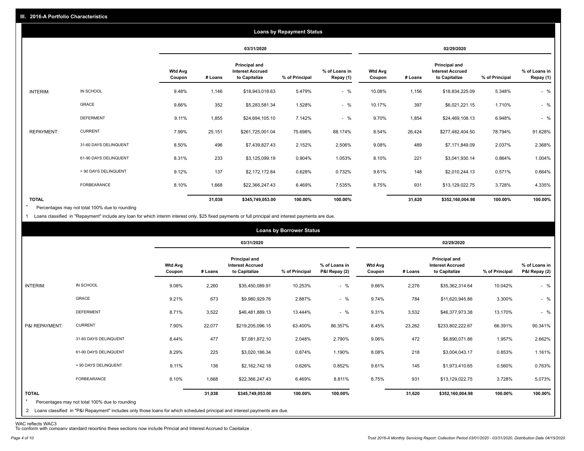|                   |                       |                          |            |                                                                  | <b>Loans by Repayment Status</b> |                            |                          |         |                                                           |                |                            |
|-------------------|-----------------------|--------------------------|------------|------------------------------------------------------------------|----------------------------------|----------------------------|--------------------------|---------|-----------------------------------------------------------|----------------|----------------------------|
|                   |                       |                          | 03/31/2020 |                                                                  |                                  |                            | 02/29/2020               |         |                                                           |                |                            |
|                   |                       | <b>Wtd Avg</b><br>Coupon | # Loans    | <b>Principal and</b><br><b>Interest Accrued</b><br>to Capitalize | % of Principal                   | % of Loans in<br>Repay (1) | <b>Wtd Avg</b><br>Coupon | # Loans | Principal and<br><b>Interest Accrued</b><br>to Capitalize | % of Principal | % of Loans in<br>Repay (1) |
| INTERIM:          | IN SCHOOL             | 9.48%                    | 1,146      | \$18,943,018.63                                                  | 5.479%                           | $-$ %                      | 10.08%                   | 1,156   | \$18,834,225.09                                           | 5.348%         | $-$ %                      |
|                   | GRACE                 | 9.66%                    | 352        | \$5,283,581.34                                                   | 1.528%                           | $-$ %                      | 10.17%                   | 397     | \$6,021,221.15                                            | 1.710%         | $-$ %                      |
|                   | <b>DEFERMENT</b>      | 9.11%                    | 1,855      | \$24,694,105.10                                                  | 7.142%                           | $-$ %                      | 9.70%                    | 1,854   | \$24,469,108.13                                           | 6.948%         | $-$ %                      |
| <b>REPAYMENT:</b> | <b>CURRENT</b>        | 7.99%                    | 25,151     | \$261,725,001.04                                                 | 75.698%                          | 88.174%                    | 8.54%                    | 26,424  | \$277,482,404.50                                          | 78.794%        | 91.628%                    |
|                   | 31-60 DAYS DELINQUENT | 8.50%                    | 496        | \$7,439,827.43                                                   | 2.152%                           | 2.506%                     | 9.08%                    | 489     | \$7,171,849.09                                            | 2.037%         | 2.368%                     |
|                   | 61-90 DAYS DELINQUENT | 8.31%                    | 233        | \$3,125,099.19                                                   | 0.904%                           | 1.053%                     | 8.10%                    | 221     | \$3,041,930.14                                            | 0.864%         | 1.004%                     |
|                   | > 90 DAYS DELINQUENT  | 9.12%                    | 137        | \$2,172,172.84                                                   | 0.628%                           | 0.732%                     | 9.61%                    | 148     | \$2,010,244.13                                            | 0.571%         | 0.664%                     |
|                   | FORBEARANCE           | 8.10%                    | 1,668      | \$22,366,247.43                                                  | 6.469%                           | 7.535%                     | 8.75%                    | 931     | \$13,129,022.75                                           | 3.728%         | 4.335%                     |
| <b>TOTAL</b>      |                       |                          | 31,038     | \$345,749,053.00                                                 | 100.00%                          | 100.00%                    |                          | 31,620  | \$352,160,004.98                                          | 100.00%        | 100.00%                    |

Percentages may not total 100% due to rounding  $\star$ 

1 Loans classified in "Repayment" include any loan for which interim interest only, \$25 fixed payments or full principal and interest payments are due.

|                         |                                                                                                                              |                          | <b>Loans by Borrower Status</b> |                                                           |                |                                |                          |         |                                                           |                |                                |
|-------------------------|------------------------------------------------------------------------------------------------------------------------------|--------------------------|---------------------------------|-----------------------------------------------------------|----------------|--------------------------------|--------------------------|---------|-----------------------------------------------------------|----------------|--------------------------------|
|                         |                                                                                                                              |                          |                                 | 03/31/2020                                                |                |                                | 02/29/2020               |         |                                                           |                |                                |
|                         |                                                                                                                              | <b>Wtd Avg</b><br>Coupon | # Loans                         | Principal and<br><b>Interest Accrued</b><br>to Capitalize | % of Principal | % of Loans in<br>P&I Repay (2) | <b>Wtd Avg</b><br>Coupon | # Loans | Principal and<br><b>Interest Accrued</b><br>to Capitalize | % of Principal | % of Loans in<br>P&I Repay (2) |
| INTERIM:                | IN SCHOOL                                                                                                                    | 9.08%                    | 2,260                           | \$35,450,089.91                                           | 10.253%        | $-$ %                          | 9.66%                    | 2,276   | \$35,362,314.64                                           | 10.042%        | $-$ %                          |
|                         | GRACE                                                                                                                        | 9.21%                    | 673                             | \$9,980,929.76                                            | 2.887%         | $-$ %                          | 9.74%                    | 784     | \$11,620,945.86                                           | 3.300%         | $-$ %                          |
|                         | <b>DEFERMENT</b>                                                                                                             | 8.71%                    | 3,522                           | \$46,481,889.13                                           | 13.444%        | $-$ %                          | 9.31%                    | 3,532   | \$46,377,973.38                                           | 13.170%        | $-$ %                          |
| P&I REPAYMENT:          | <b>CURRENT</b>                                                                                                               | 7.90%                    | 22,077                          | \$219,205,096.15                                          | 63.400%        | 86.357%                        | 8.45%                    | 23,262  | \$233,802,222.67                                          | 66.391%        | 90.341%                        |
|                         | 31-60 DAYS DELINQUENT                                                                                                        | 8.44%                    | 477                             | \$7,081,872.10                                            | 2.048%         | 2.790%                         | 9.06%                    | 472     | \$6,890,071.86                                            | 1.957%         | 2.662%                         |
|                         | 61-90 DAYS DELINQUENT                                                                                                        | 8.29%                    | 225                             | \$3,020,186.34                                            | 0.874%         | 1.190%                         | 8.08%                    | 218     | \$3,004,043.17                                            | 0.853%         | 1.161%                         |
|                         | > 90 DAYS DELINQUENT                                                                                                         | 9.11%                    | 136                             | \$2,162,742.18                                            | 0.626%         | 0.852%                         | 9.61%                    | 145     | \$1,973,410.65                                            | 0.560%         | 0.763%                         |
|                         | FORBEARANCE                                                                                                                  | 8.10%                    | 1,668                           | \$22,366,247.43                                           | 6.469%         | 8.811%                         | 8.75%                    | 931     | \$13,129,022.75                                           | 3.728%         | 5.073%                         |
| <b>TOTAL</b><br>$\star$ | Percentages may not total 100% due to rounding                                                                               |                          | 31,038                          | \$345,749,053.00                                          | 100.00%        | 100.00%                        |                          | 31,620  | \$352,160,004.98                                          | 100.00%        | 100.00%                        |
|                         | 2 Loans classified in "P&I Repayment" includes only those loans for which scheduled principal and interest payments are due. |                          |                                 |                                                           |                |                                |                          |         |                                                           |                |                                |

WAC reflects WAC3 To conform with company standard reporting these sections now include Princial and Interest Accrued to Capitalize .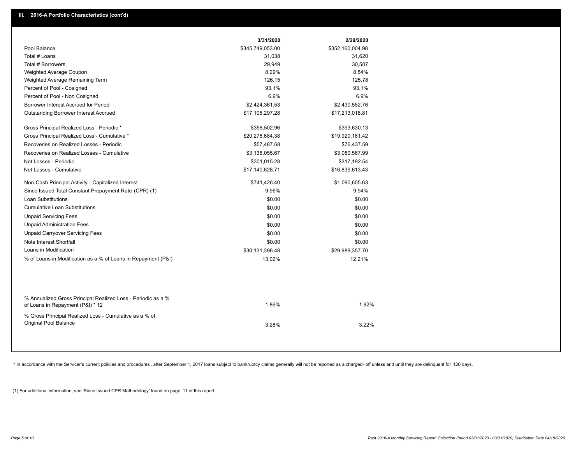|                                                                                                  | 3/31/2020        | 2/29/2020        |
|--------------------------------------------------------------------------------------------------|------------------|------------------|
| Pool Balance                                                                                     | \$345,749,053.00 | \$352,160,004.98 |
| Total # Loans                                                                                    | 31,038           | 31,620           |
| Total # Borrowers                                                                                | 29,949           | 30,507           |
| Weighted Average Coupon                                                                          | 8.29%            | 8.84%            |
| Weighted Average Remaining Term                                                                  | 126.15           | 125.78           |
| Percent of Pool - Cosigned                                                                       | 93.1%            | 93.1%            |
| Percent of Pool - Non Cosigned                                                                   | 6.9%             | 6.9%             |
| Borrower Interest Accrued for Period                                                             | \$2,424,361.53   | \$2,430,552.76   |
| <b>Outstanding Borrower Interest Accrued</b>                                                     | \$17,106,297.28  | \$17,213,018.81  |
| Gross Principal Realized Loss - Periodic *                                                       | \$358,502.96     | \$393,630.13     |
| Gross Principal Realized Loss - Cumulative *                                                     | \$20,278,684.38  | \$19,920,181.42  |
| Recoveries on Realized Losses - Periodic                                                         | \$57,487.68      | \$76,437.59      |
| Recoveries on Realized Losses - Cumulative                                                       | \$3,138,055.67   | \$3,080,567.99   |
| Net Losses - Periodic                                                                            | \$301,015.28     | \$317,192.54     |
| Net Losses - Cumulative                                                                          | \$17,140,628.71  | \$16,839,613.43  |
| Non-Cash Principal Activity - Capitalized Interest                                               | \$741,426.40     | \$1,090,605.63   |
| Since Issued Total Constant Prepayment Rate (CPR) (1)                                            | 9.96%            | 9.94%            |
| <b>Loan Substitutions</b>                                                                        | \$0.00           | \$0.00           |
| <b>Cumulative Loan Substitutions</b>                                                             | \$0.00           | \$0.00           |
| <b>Unpaid Servicing Fees</b>                                                                     | \$0.00           | \$0.00           |
| <b>Unpaid Administration Fees</b>                                                                | \$0.00           | \$0.00           |
| <b>Unpaid Carryover Servicing Fees</b>                                                           | \$0.00           | \$0.00           |
| Note Interest Shortfall                                                                          | \$0.00           | \$0.00           |
| Loans in Modification                                                                            | \$30,131,396.48  | \$29,989,357.70  |
| % of Loans in Modification as a % of Loans in Repayment (P&I)                                    | 13.02%           | 12.21%           |
|                                                                                                  |                  |                  |
| % Annualized Gross Principal Realized Loss - Periodic as a %<br>of Loans in Repayment (P&I) * 12 | 1.86%            | 1.92%            |
| % Gross Principal Realized Loss - Cumulative as a % of                                           |                  |                  |
| Original Pool Balance                                                                            | 3.28%            | 3.22%            |
|                                                                                                  |                  |                  |

\* In accordance with the Servicer's current policies and procedures, after September 1, 2017 loans subject to bankruptcy claims generally will not be reported as a charged- off unless and until they are delinquent for 120

(1) For additional information, see 'Since Issued CPR Methodology' found on page 11 of this report.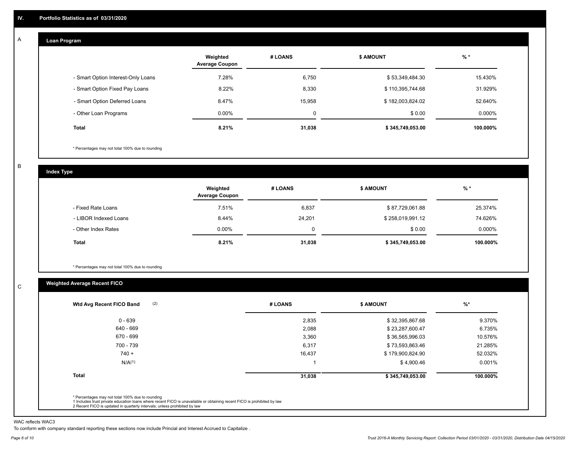#### **Loan Program**  A

|                                    | Weighted<br><b>Average Coupon</b> | # LOANS | <b>\$ AMOUNT</b> | $%$ *    |
|------------------------------------|-----------------------------------|---------|------------------|----------|
| - Smart Option Interest-Only Loans | 7.28%                             | 6,750   | \$53,349,484.30  | 15.430%  |
| - Smart Option Fixed Pay Loans     | 8.22%                             | 8,330   | \$110,395,744.68 | 31.929%  |
| - Smart Option Deferred Loans      | 8.47%                             | 15.958  | \$182,003,824.02 | 52.640%  |
| - Other Loan Programs              | $0.00\%$                          | 0       | \$0.00           | 0.000%   |
| <b>Total</b>                       | 8.21%                             | 31,038  | \$345,749,053.00 | 100.000% |

\* Percentages may not total 100% due to rounding

B

C

**Index Type**

|                       | Weighted<br><b>Average Coupon</b> | # LOANS | <b>\$ AMOUNT</b> | $%$ *     |
|-----------------------|-----------------------------------|---------|------------------|-----------|
| - Fixed Rate Loans    | 7.51%                             | 6,837   | \$87,729,061.88  | 25.374%   |
| - LIBOR Indexed Loans | 8.44%                             | 24,201  | \$258,019,991.12 | 74.626%   |
| - Other Index Rates   | $0.00\%$                          |         | \$0.00           | $0.000\%$ |
| Total                 | 8.21%                             | 31,038  | \$345,749,053.00 | 100.000%  |

\* Percentages may not total 100% due to rounding

## **Weighted Average Recent FICO**

| (2)<br>Wtd Avg Recent FICO Band | # LOANS | \$ AMOUNT        | $%$ *    |
|---------------------------------|---------|------------------|----------|
| $0 - 639$                       | 2,835   | \$32,395,867.68  | 9.370%   |
| 640 - 669                       | 2,088   | \$23,287,600.47  | 6.735%   |
| 670 - 699                       | 3,360   | \$36,565,996.03  | 10.576%  |
| 700 - 739                       | 6,317   | \$73,593,863.46  | 21.285%  |
| $740 +$                         | 16,437  | \$179,900,824.90 | 52.032%  |
| N/A <sup>(1)</sup>              |         | \$4,900.46       | 0.001%   |
| <b>Total</b>                    | 31,038  | \$345,749,053.00 | 100.000% |

WAC reflects WAC3

To conform with company standard reporting these sections now include Princial and Interest Accrued to Capitalize .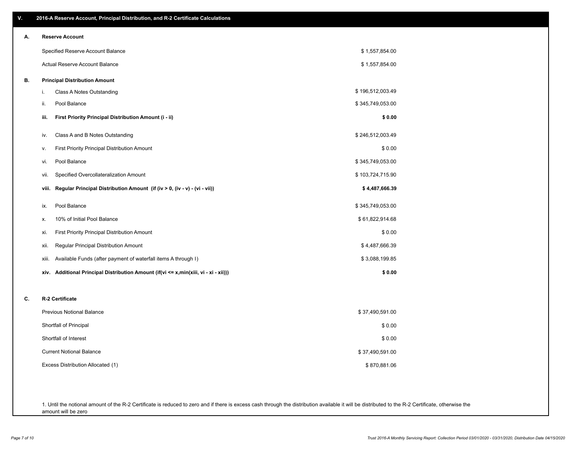| V. | 2016-A Reserve Account, Principal Distribution, and R-2 Certificate Calculations        |                  |  |
|----|-----------------------------------------------------------------------------------------|------------------|--|
| А. | <b>Reserve Account</b>                                                                  |                  |  |
|    | Specified Reserve Account Balance                                                       | \$1,557,854.00   |  |
|    | Actual Reserve Account Balance                                                          | \$1,557,854.00   |  |
| В. | <b>Principal Distribution Amount</b>                                                    |                  |  |
|    | i.<br>Class A Notes Outstanding                                                         | \$196,512,003.49 |  |
|    | ii.<br>Pool Balance                                                                     | \$345,749,053.00 |  |
|    | First Priority Principal Distribution Amount (i - ii)<br>iii.                           | \$0.00           |  |
|    | Class A and B Notes Outstanding<br>iv.                                                  | \$246,512,003.49 |  |
|    | <b>First Priority Principal Distribution Amount</b><br>٧.                               | \$0.00           |  |
|    | Pool Balance<br>vi.                                                                     | \$345,749,053.00 |  |
|    | Specified Overcollateralization Amount<br>Vii.                                          | \$103,724,715.90 |  |
|    | Regular Principal Distribution Amount (if (iv > 0, (iv - v) - (vi - vii))<br>viii.      | \$4,487,666.39   |  |
|    | Pool Balance<br>ix.                                                                     | \$345,749,053.00 |  |
|    | 10% of Initial Pool Balance<br>х.                                                       | \$61,822,914.68  |  |
|    | <b>First Priority Principal Distribution Amount</b><br>xi.                              | \$0.00           |  |
|    | Regular Principal Distribution Amount<br>Xii.                                           | \$4,487,666.39   |  |
|    | Available Funds (after payment of waterfall items A through I)<br>xiii.                 | \$3,088,199.85   |  |
|    | Additional Principal Distribution Amount (if(vi <= x,min(xiii, vi - xi - xii)))<br>xiv. | \$0.00           |  |
| c. | R-2 Certificate                                                                         |                  |  |
|    | Previous Notional Balance                                                               | \$37,490,591.00  |  |
|    | Shortfall of Principal                                                                  | \$0.00           |  |
|    | Shortfall of Interest                                                                   | \$0.00           |  |
|    | <b>Current Notional Balance</b>                                                         | \$37,490,591.00  |  |
|    | Excess Distribution Allocated (1)                                                       | \$870,881.06     |  |
|    |                                                                                         |                  |  |
|    |                                                                                         |                  |  |

1. Until the notional amount of the R-2 Certificate is reduced to zero and if there is excess cash through the distribution available it will be distributed to the R-2 Certificate, otherwise the amount will be zero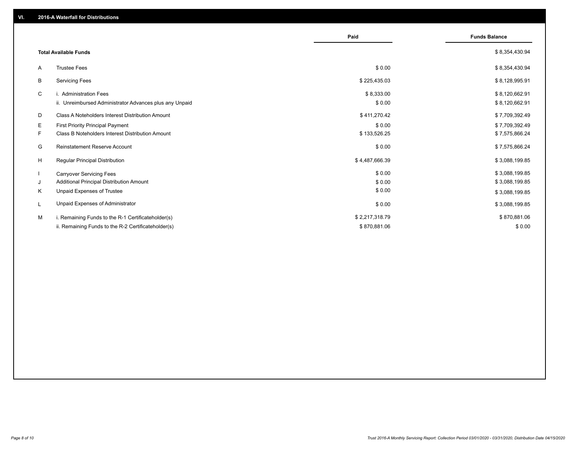|                                                               | Paid           | <b>Funds Balance</b> |
|---------------------------------------------------------------|----------------|----------------------|
| <b>Total Available Funds</b>                                  |                | \$8,354,430.94       |
| <b>Trustee Fees</b><br>A                                      | \$0.00         | \$8,354,430.94       |
| В<br><b>Servicing Fees</b>                                    | \$225,435.03   | \$8,128,995.91       |
| C<br>i. Administration Fees                                   | \$8,333.00     | \$8,120,662.91       |
| ii. Unreimbursed Administrator Advances plus any Unpaid       | \$0.00         | \$8,120,662.91       |
| D<br>Class A Noteholders Interest Distribution Amount         | \$411,270.42   | \$7,709,392.49       |
| Е<br>First Priority Principal Payment                         | \$0.00         | \$7,709,392.49       |
| <b>Class B Noteholders Interest Distribution Amount</b><br>F. | \$133,526.25   | \$7,575,866.24       |
| <b>Reinstatement Reserve Account</b><br>G                     | \$0.00         | \$7,575,866.24       |
| H<br><b>Regular Principal Distribution</b>                    | \$4,487,666.39 | \$3,088,199.85       |
| <b>Carryover Servicing Fees</b>                               | \$0.00         | \$3,088,199.85       |
| Additional Principal Distribution Amount<br>J                 | \$0.00         | \$3,088,199.85       |
| Κ<br>Unpaid Expenses of Trustee                               | \$0.00         | \$3,088,199.85       |
| Unpaid Expenses of Administrator<br>L                         | \$0.00         | \$3,088,199.85       |
| M<br>i. Remaining Funds to the R-1 Certificateholder(s)       | \$2,217,318.79 | \$870,881.06         |
| ii. Remaining Funds to the R-2 Certificateholder(s)           | \$870,881.06   | \$0.00               |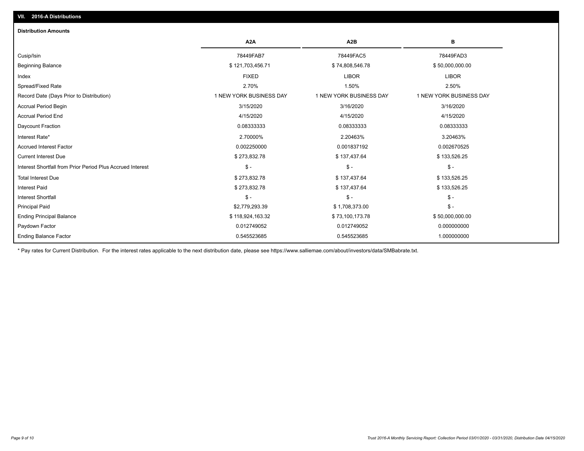| <b>Distribution Amounts</b>                                |                         |                         |                         |
|------------------------------------------------------------|-------------------------|-------------------------|-------------------------|
|                                                            | A <sub>2</sub> A        | A <sub>2</sub> B        | в                       |
| Cusip/Isin                                                 | 78449FAB7               | 78449FAC5               | 78449FAD3               |
| <b>Beginning Balance</b>                                   | \$121,703,456.71        | \$74,808,546.78         | \$50,000,000.00         |
| Index                                                      | <b>FIXED</b>            | <b>LIBOR</b>            | <b>LIBOR</b>            |
| Spread/Fixed Rate                                          | 2.70%                   | 1.50%                   | 2.50%                   |
| Record Date (Days Prior to Distribution)                   | 1 NEW YORK BUSINESS DAY | 1 NEW YORK BUSINESS DAY | 1 NEW YORK BUSINESS DAY |
| Accrual Period Begin                                       | 3/15/2020               | 3/16/2020               | 3/16/2020               |
| <b>Accrual Period End</b>                                  | 4/15/2020               | 4/15/2020               | 4/15/2020               |
| Daycount Fraction                                          | 0.08333333              | 0.08333333              | 0.08333333              |
| Interest Rate*                                             | 2.70000%                | 2.20463%                | 3.20463%                |
| <b>Accrued Interest Factor</b>                             | 0.002250000             | 0.001837192             | 0.002670525             |
| <b>Current Interest Due</b>                                | \$273,832.78            | \$137,437.64            | \$133,526.25            |
| Interest Shortfall from Prior Period Plus Accrued Interest | $\mathcal{S}$ -         | $\mathsf{\$}$ -         | $\mathcal{S}$ -         |
| <b>Total Interest Due</b>                                  | \$273,832.78            | \$137,437.64            | \$133,526.25            |
| <b>Interest Paid</b>                                       | \$273,832.78            | \$137,437.64            | \$133,526.25            |
| <b>Interest Shortfall</b>                                  | $\frac{1}{2}$           | $$ -$                   | $\mathbb{S}$ -          |
| <b>Principal Paid</b>                                      | \$2,779,293.39          | \$1,708,373.00          | $$ -$                   |
| <b>Ending Principal Balance</b>                            | \$118,924,163.32        | \$73,100,173.78         | \$50,000,000.00         |
| Paydown Factor                                             | 0.012749052             | 0.012749052             | 0.000000000             |
| <b>Ending Balance Factor</b>                               | 0.545523685             | 0.545523685             | 1.000000000             |

\* Pay rates for Current Distribution. For the interest rates applicable to the next distribution date, please see https://www.salliemae.com/about/investors/data/SMBabrate.txt.

**VII. 2016-A Distributions**